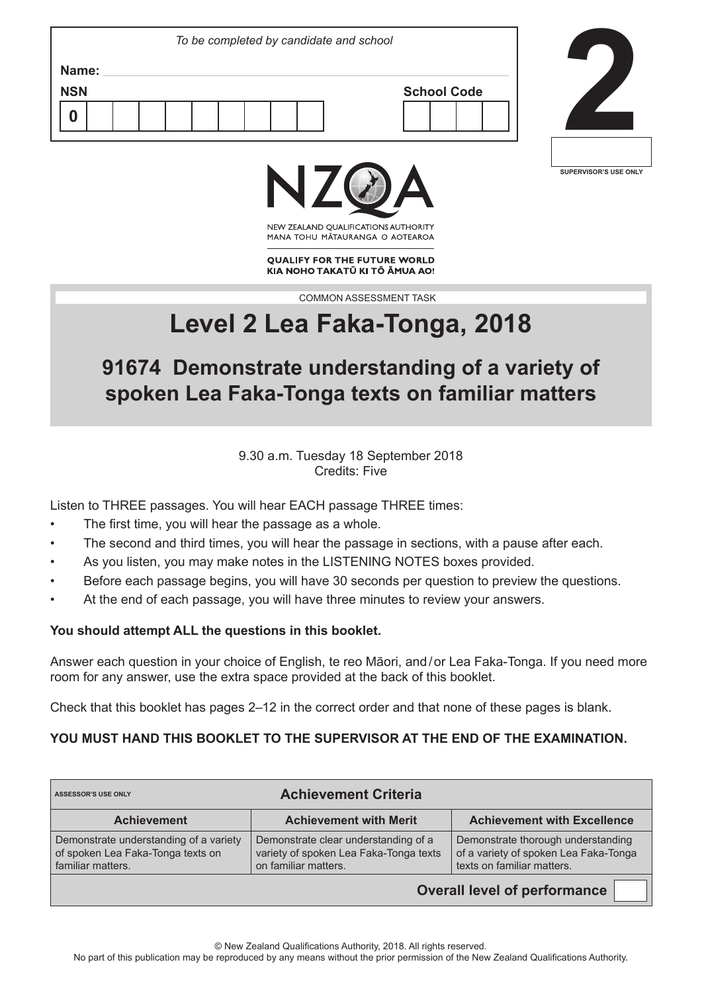| To be completed by candidate and school |  |                    |  |
|-----------------------------------------|--|--------------------|--|
| Name:<br><b>NSN</b>                     |  | <b>School Code</b> |  |
|                                         |  |                    |  |



╜



NEW ZEALAND OUALIFICATIONS AUTHORITY MANA TOHU MATAURANGA O AOTEAROA

**QUALIFY FOR THE FUTURE WORLD** KIA NOHO TAKATŪ KI TŌ ĀMUA AO!

COMMON ASSESSMENT TASK

# **Level 2 Lea Faka-Tonga, 2018**

## **91674 Demonstrate understanding of a variety of spoken Lea Faka-Tonga texts on familiar matters**

9.30 a.m. Tuesday 18 September 2018 Credits: Five

Listen to THREE passages. You will hear EACH passage THREE times:

- The first time, you will hear the passage as a whole.
- The second and third times, you will hear the passage in sections, with a pause after each.
- As you listen, you may make notes in the LISTENING NOTES boxes provided.
- Before each passage begins, you will have 30 seconds per question to preview the questions.
- At the end of each passage, you will have three minutes to review your answers.

#### **You should attempt ALL the questions in this booklet.**

Answer each question in your choice of English, te reo Māori, and / or Lea Faka-Tonga. If you need more room for any answer, use the extra space provided at the back of this booklet.

Check that this booklet has pages 2–12 in the correct order and that none of these pages is blank.

#### **YOU MUST HAND THIS BOOKLET TO THE SUPERVISOR AT THE END OF THE EXAMINATION.**

| <b>Achievement Criteria</b><br><b>ASSESSOR'S USE ONLY</b>                                        |                                                                                                        |                                                                                                           |  |  |  |
|--------------------------------------------------------------------------------------------------|--------------------------------------------------------------------------------------------------------|-----------------------------------------------------------------------------------------------------------|--|--|--|
| <b>Achievement</b>                                                                               | <b>Achievement with Merit</b>                                                                          | <b>Achievement with Excellence</b>                                                                        |  |  |  |
| Demonstrate understanding of a variety<br>of spoken Lea Faka-Tonga texts on<br>familiar matters. | Demonstrate clear understanding of a<br>variety of spoken Lea Faka-Tonga texts<br>on familiar matters. | Demonstrate thorough understanding<br>of a variety of spoken Lea Faka-Tonga<br>texts on familiar matters. |  |  |  |
| <b>Overall level of performance</b>                                                              |                                                                                                        |                                                                                                           |  |  |  |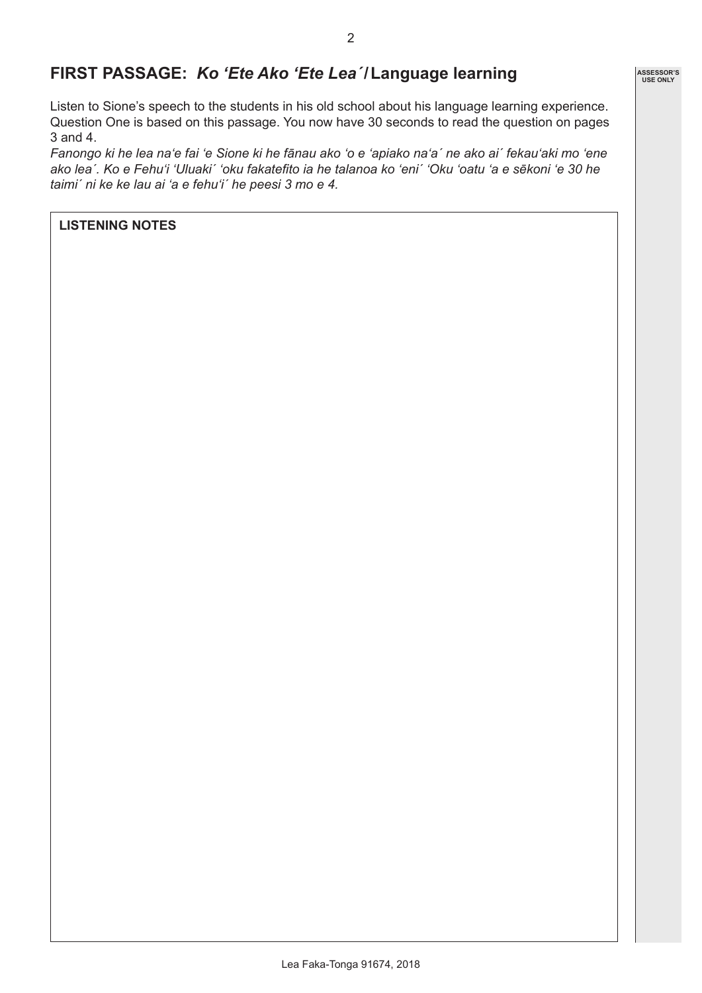## **FIRST PASSAGE:** *Ko 'Ete Ako 'Ete Lea´***/Language learning**

Listen to Sione's speech to the students in his old school about his language learning experience. Question One is based on this passage. You now have 30 seconds to read the question on pages 3 and 4.

*Fanongo ki he lea na'e fai 'e Sione ki he fānau ako 'o e 'apiako na'a´ ne ako ai´ fekau'aki mo 'ene ako lea´. Ko e Fehu'i 'Uluaki´ 'oku fakatefito ia he talanoa ko 'eni´ 'Oku 'oatu 'a e sēkoni 'e 30 he taimi´ ni ke ke lau ai 'a e fehu'i´ he peesi 3 mo e 4.*

#### **LISTENING NOTES**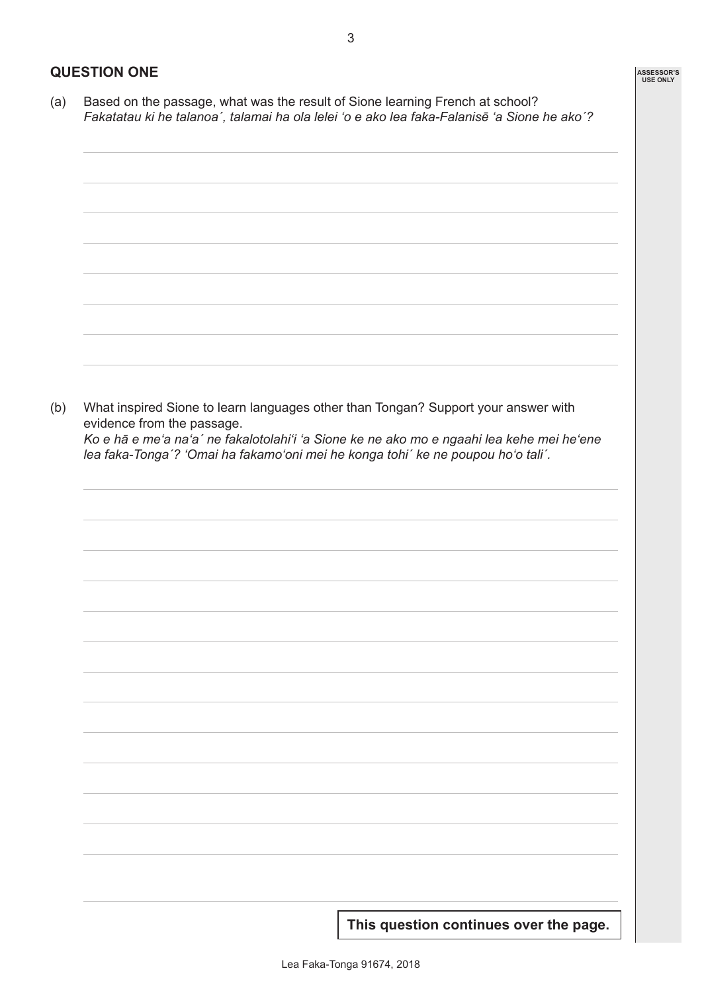(a) Based on the passage, what was the result of Sione learning French at school? *Fakatatau ki he talanoa´, talamai ha ola lelei 'o e ako lea faka-Falanisē 'a Sione he ako´?*

(b) What inspired Sione to learn languages other than Tongan? Support your answer with evidence from the passage. *Ko e hā e me'a na'a´ ne fakalotolahi'i 'a Sione ke ne ako mo e ngaahi lea kehe mei he'ene lea faka-Tonga´? 'Omai ha fakamo'oni mei he konga tohi´ ke ne poupou ho'o tali´.*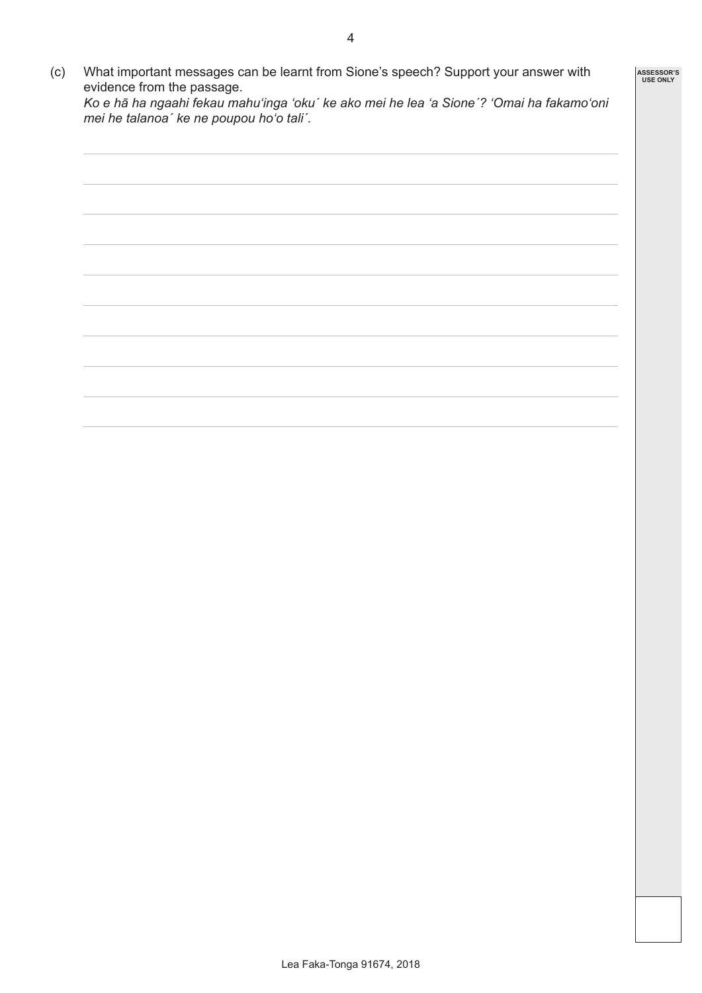**ASSESSOR'S USE ONLY**

| (C) | What important messages can be learnt from Sione's speech? Support your answer with      |
|-----|------------------------------------------------------------------------------------------|
|     | evidence from the passage.                                                               |
|     | Ko e hā ha ngaahi fekau mahu'inga 'oku' ke ako mei he lea 'a Sione'? 'Omai ha fakamo'oni |

*Ko e hā ha ngaahi fekau mahu'inga 'oku´ ke ako mei he lea 'a Sione´? 'Omai ha fakamo'oni mei he talanoa´ ke ne poupou ho'o tali´.*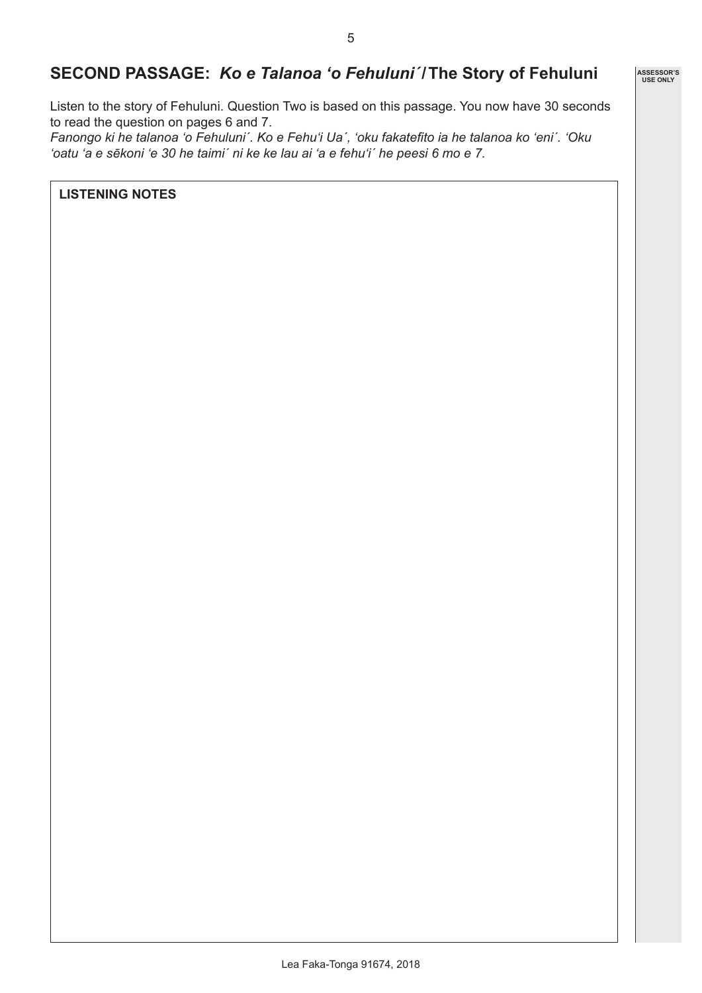### **SECOND PASSAGE:** *Ko e Talanoa 'o Fehuluni´***/The Story of Fehuluni**

Listen to the story of Fehuluni. Question Two is based on this passage. You now have 30 seconds to read the question on pages 6 and 7.

*Fanongo ki he talanoa 'o Fehuluni´. Ko e Fehu'i Ua´, 'oku fakatefito ia he talanoa ko 'eni´. 'Oku 'oatu 'a e sēkoni 'e 30 he taimi´ ni ke ke lau ai 'a e fehu'i´ he peesi 6 mo e 7.*

**LISTENING NOTES**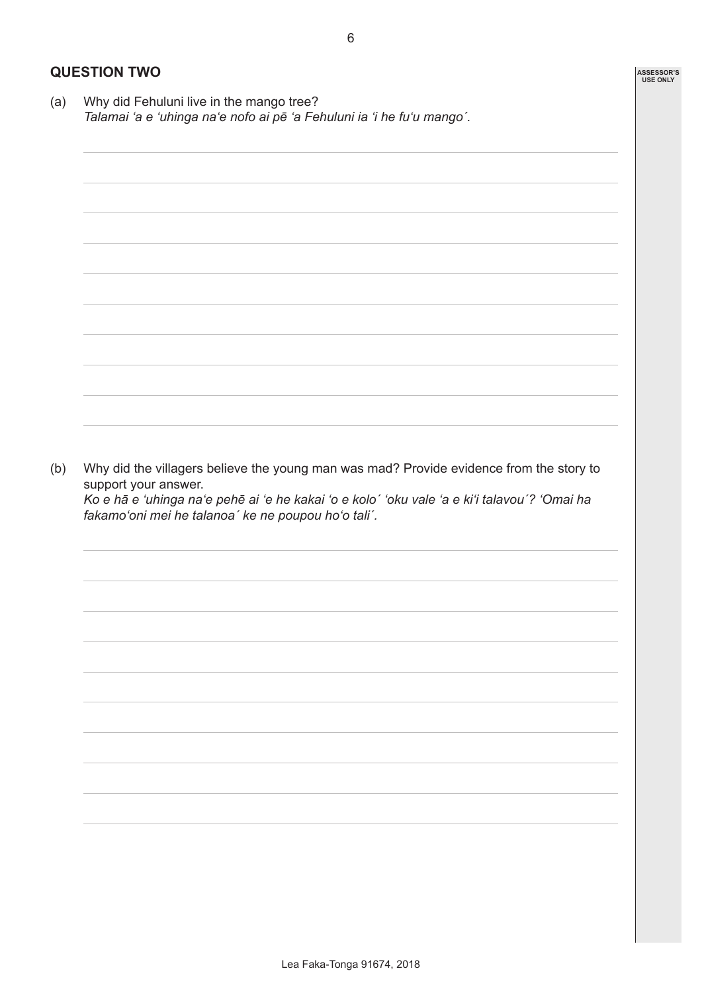**ASSESSOR'S USE ONLY**

#### **QUESTION TWO**

(a) Why did Fehuluni live in the mango tree? *Talamai 'a e 'uhinga na'e nofo ai pē 'a Fehuluni ia 'i he fu'u mango´.*

(b) Why did the villagers believe the young man was mad? Provide evidence from the story to support your answer.

*Ko e hā e 'uhinga na'e pehē ai 'e he kakai 'o e kolo´ 'oku vale 'a e ki'i talavou´? 'Omai ha fakamo'oni mei he talanoa´ ke ne poupou ho'o tali´.*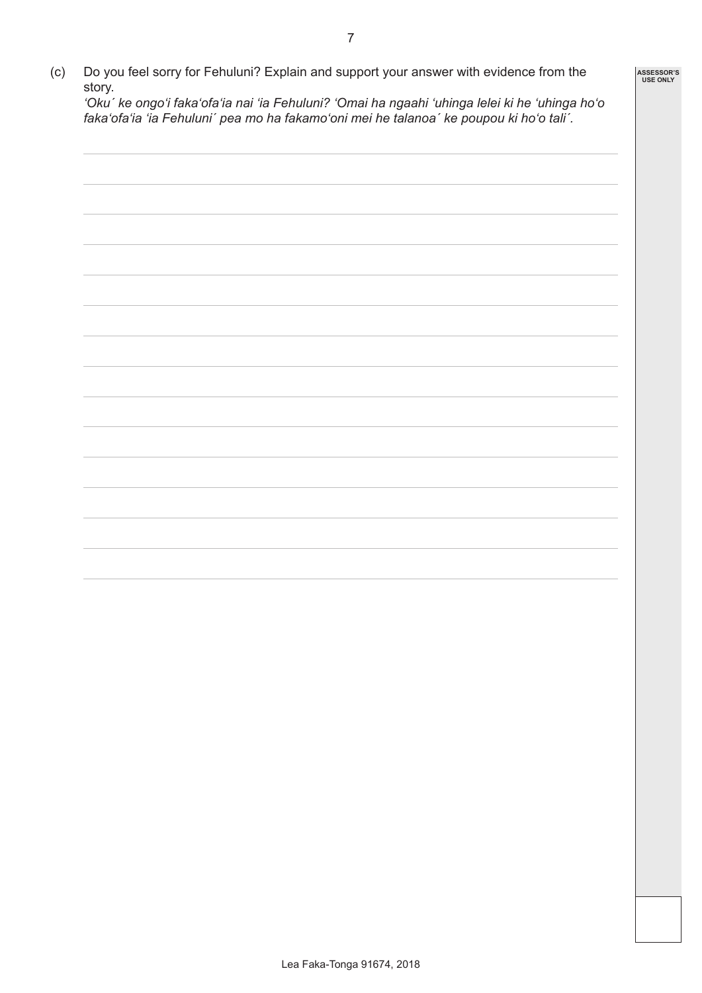(c) Do you feel sorry for Fehuluni? Explain and support your answer with evidence from the story. *'Oku´ ke ongo'i faka'ofa'ia nai 'ia Fehuluni? 'Omai ha ngaahi 'uhinga lelei ki he 'uhinga ho'o faka'ofa'ia 'ia Fehuluni´ pea mo ha fakamo'oni mei he talanoa´ ke poupou ki ho'o tali´.*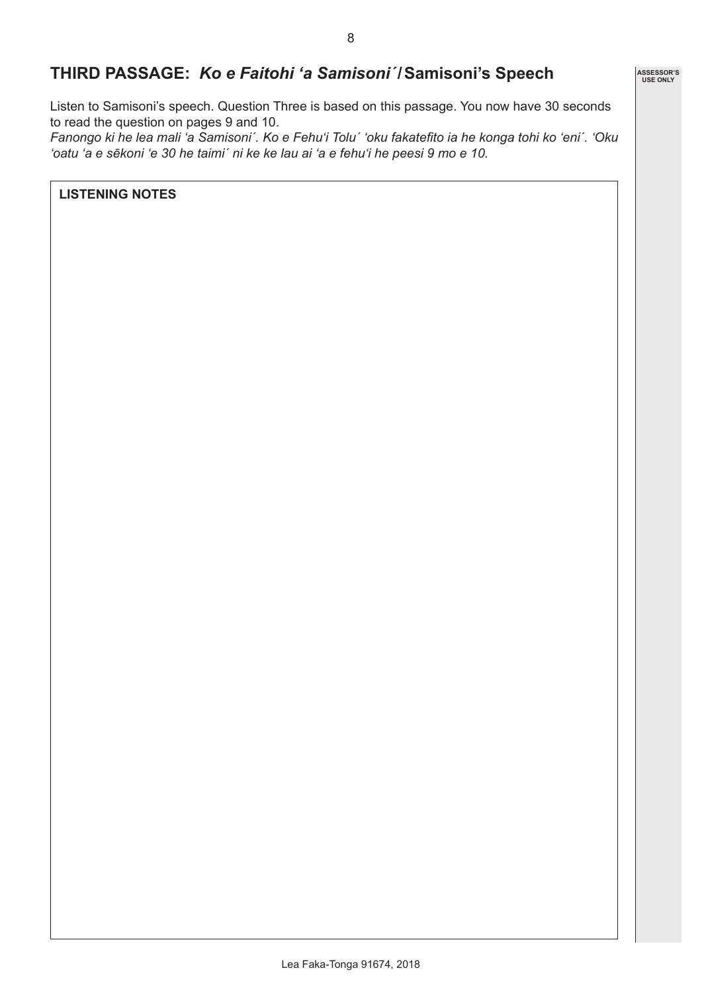## **THIRD PASSAGE:** *Ko e Faitohi 'a Samisoni´***/Samisoni's Speech**

Listen to Samisoni's speech. Question Three is based on this passage. You now have 30 seconds to read the question on pages 9 and 10.

*Fanongo ki he lea mali 'a Samisoni´. Ko e Fehu'i Tolu´ 'oku fakatefito ia he konga tohi ko 'eni´. 'Oku 'oatu 'a e sēkoni 'e 30 he taimi´ ni ke ke lau ai 'a e fehu'i he peesi 9 mo e 10.*

**LISTENING NOTES**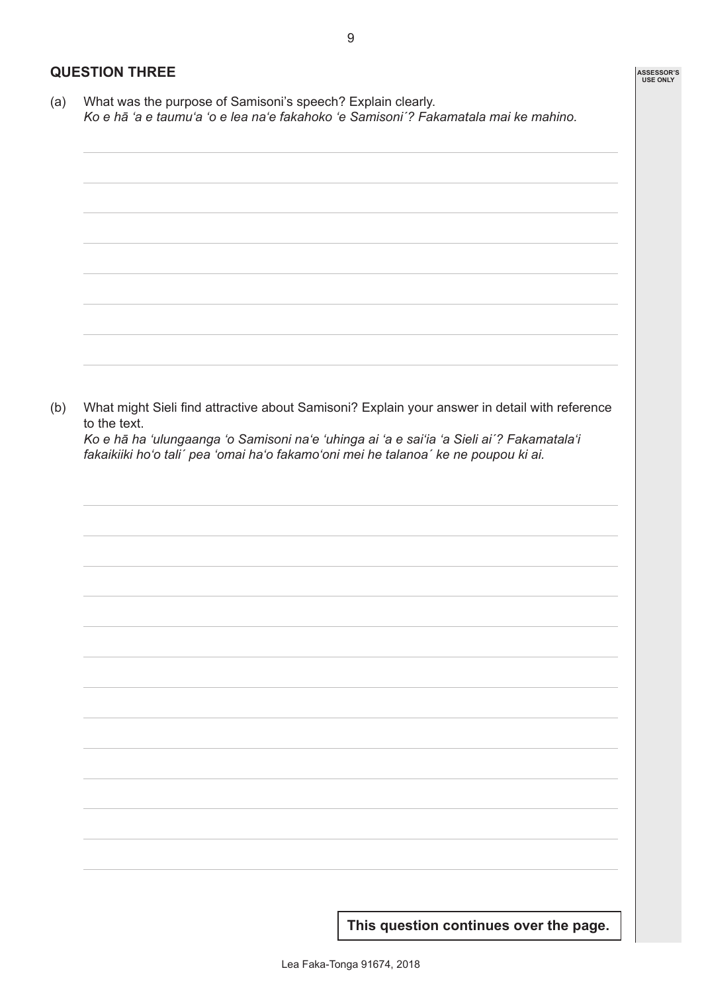#### **QUESTION THREE**

(a) What was the purpose of Samisoni's speech? Explain clearly. *Ko e hā 'a e taumu'a 'o e lea na'e fakahoko 'e Samisoni´? Fakamatala mai ke mahino.*

|              | What might Sieli find attractive about Samisoni? Explain your answer in detail with reference                                                                                    |  |  |
|--------------|----------------------------------------------------------------------------------------------------------------------------------------------------------------------------------|--|--|
| to the text. |                                                                                                                                                                                  |  |  |
|              | Ko e hā ha 'ulungaanga 'o Samisoni na'e 'uhinga ai 'a e sai'ia 'a Sieli ai'? Fakamatala'i<br>fakaikiiki ho'o tali' pea 'omai ha'o fakamo'oni mei he talanoa' ke ne poupou ki ai. |  |  |
|              |                                                                                                                                                                                  |  |  |
|              |                                                                                                                                                                                  |  |  |
|              |                                                                                                                                                                                  |  |  |
|              |                                                                                                                                                                                  |  |  |
|              |                                                                                                                                                                                  |  |  |
|              |                                                                                                                                                                                  |  |  |
|              |                                                                                                                                                                                  |  |  |
|              |                                                                                                                                                                                  |  |  |
|              |                                                                                                                                                                                  |  |  |
|              |                                                                                                                                                                                  |  |  |
|              |                                                                                                                                                                                  |  |  |
|              |                                                                                                                                                                                  |  |  |
|              |                                                                                                                                                                                  |  |  |
|              |                                                                                                                                                                                  |  |  |
|              |                                                                                                                                                                                  |  |  |
|              |                                                                                                                                                                                  |  |  |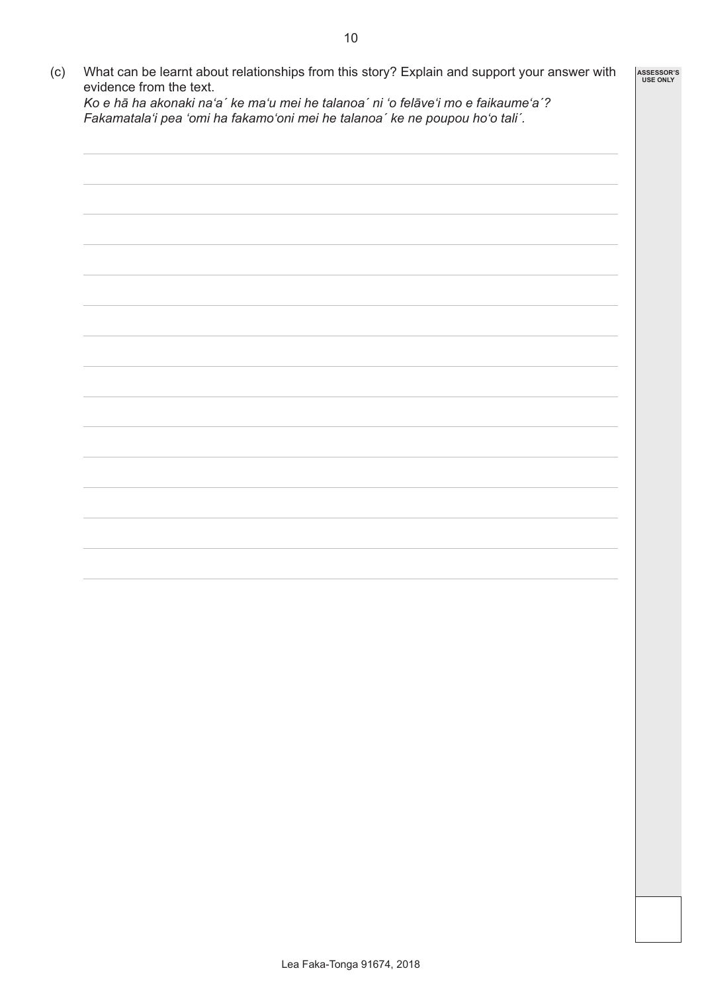(c) What can be learnt about relationships from this story? Explain and support your answer with evidence from the text. *Ko e hā ha akonaki na'a´ ke ma'u mei he talanoa´ ni 'o felāve'i mo e faikaume'a´? Fakamatala'i pea 'omi ha fakamo'oni mei he talanoa´ ke ne poupou ho'o tali´.* **ASSESSOR'S USE ONLY**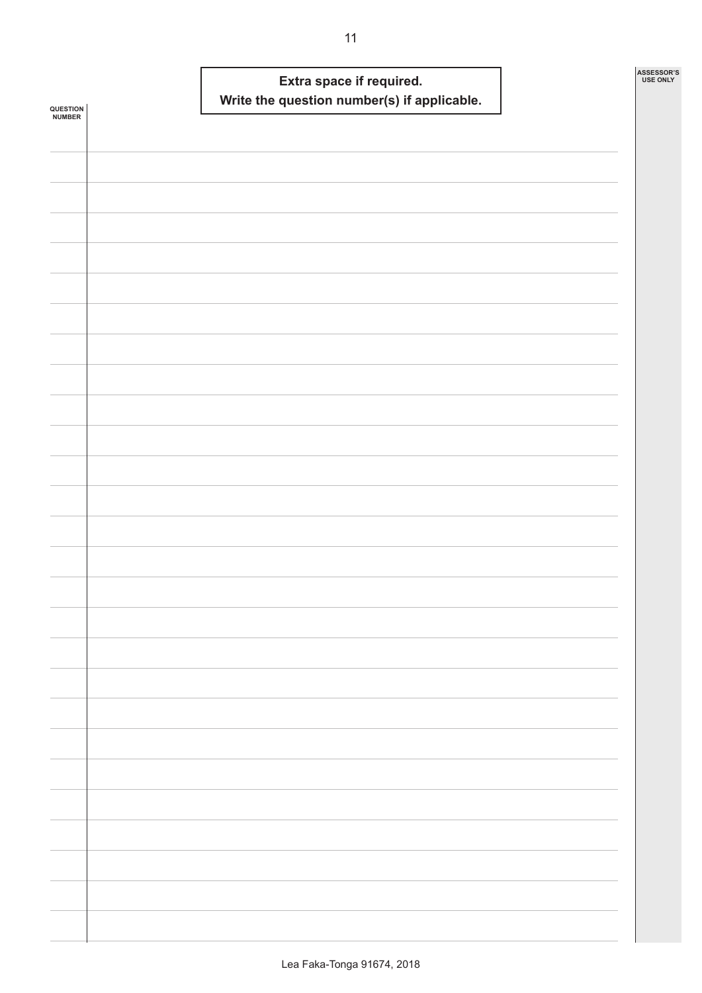| <b>QUESTION<br/>NUMBER</b> |  | Write the question number(s) if applicable. | Extra space if required. |  | ASSESSOR'S<br><b>USE ONLY</b> |
|----------------------------|--|---------------------------------------------|--------------------------|--|-------------------------------|
|                            |  |                                             |                          |  |                               |
|                            |  |                                             |                          |  |                               |
|                            |  |                                             |                          |  |                               |
|                            |  |                                             |                          |  |                               |
|                            |  |                                             |                          |  |                               |
|                            |  |                                             |                          |  |                               |
|                            |  |                                             |                          |  |                               |
|                            |  |                                             |                          |  |                               |
|                            |  |                                             |                          |  |                               |
|                            |  |                                             |                          |  |                               |
|                            |  |                                             |                          |  |                               |
|                            |  |                                             |                          |  |                               |
|                            |  |                                             |                          |  |                               |
|                            |  |                                             |                          |  |                               |
|                            |  |                                             |                          |  |                               |
|                            |  |                                             |                          |  |                               |
|                            |  |                                             |                          |  |                               |
|                            |  |                                             |                          |  |                               |
|                            |  |                                             |                          |  |                               |
|                            |  |                                             |                          |  |                               |
|                            |  |                                             |                          |  |                               |